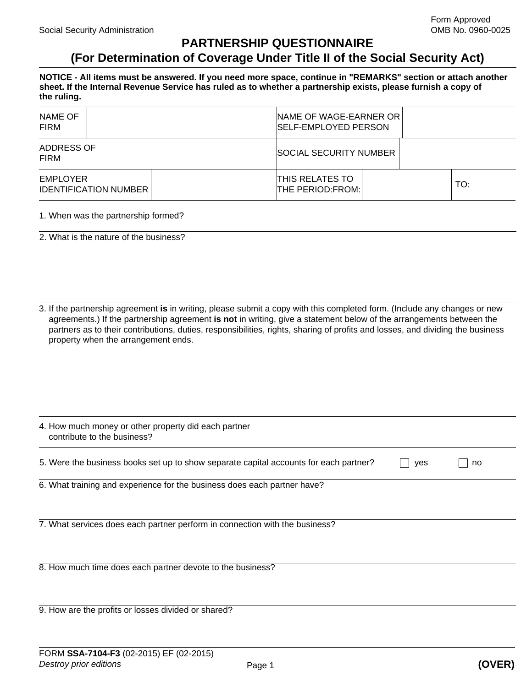## **PARTNERSHIP QUESTIONNAIRE**

## **(For Determination of Coverage Under Title II of the Social Security Act)**

**NOTICE - All items must be answered. If you need more space, continue in "REMARKS" section or attach another sheet. If the Internal Revenue Service has ruled as to whether a partnership exists, please furnish a copy of the ruling.** 

| NAME OF<br><b>FIRM</b>                   |  |                        | NAME OF WAGE-EARNER OR<br><b>SELF-EMPLOYED PERSON</b> |  |  |     |  |
|------------------------------------------|--|------------------------|-------------------------------------------------------|--|--|-----|--|
| ADDRESS OF<br><b>FIRM</b>                |  | SOCIAL SECURITY NUMBER |                                                       |  |  |     |  |
| EMPLOYER<br><b>IDENTIFICATION NUMBER</b> |  |                        | <b>THIS RELATES TO</b><br><b>THE PERIOD:FROM:</b>     |  |  | TO: |  |

## 1. When was the partnership formed?

2. What is the nature of the business?

3. If the partnership agreement **is** in writing, please submit a copy with this completed form. (Include any changes or new agreements.) If the partnership agreement **is not** in writing, give a statement below of the arrangements between the partners as to their contributions, duties, responsibilities, rights, sharing of profits and losses, and dividing the business property when the arrangement ends.

| 4. How much money or other property did each partner<br>contribute to the business?   |     |    |  |
|---------------------------------------------------------------------------------------|-----|----|--|
| 5. Were the business books set up to show separate capital accounts for each partner? | yes | no |  |
| 6. What training and experience for the business does each partner have?              |     |    |  |
| 7. What services does each partner perform in connection with the business?           |     |    |  |
| 8. How much time does each partner devote to the business?                            |     |    |  |
| 9. How are the profits or losses divided or shared?                                   |     |    |  |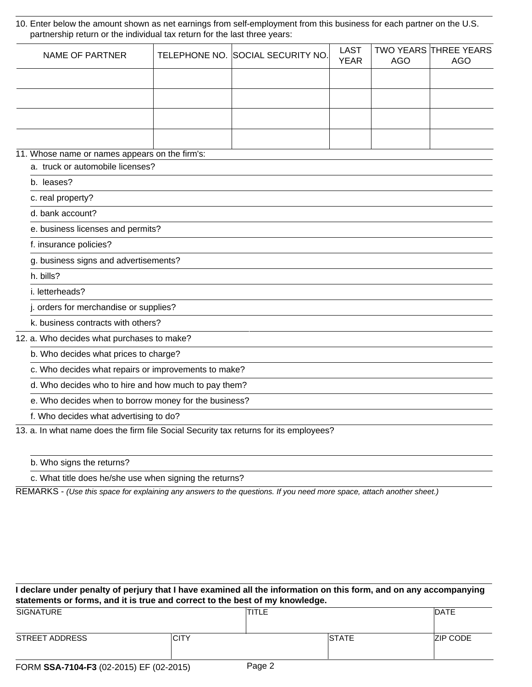10. Enter below the amount shown as net earnings from self-employment from this business for each partner on the U.S. partnership return or the individual tax return for the last three years:

| <b>NAME OF PARTNER</b>                                                                |                                       | TELEPHONE NO. SOCIAL SECURITY NO. | <b>LAST</b><br><b>YEAR</b> | <b>AGO</b> | <b>TWO YEARS THREE YEARS</b><br><b>AGO</b> |  |  |
|---------------------------------------------------------------------------------------|---------------------------------------|-----------------------------------|----------------------------|------------|--------------------------------------------|--|--|
|                                                                                       |                                       |                                   |                            |            |                                            |  |  |
|                                                                                       |                                       |                                   |                            |            |                                            |  |  |
|                                                                                       |                                       |                                   |                            |            |                                            |  |  |
|                                                                                       |                                       |                                   |                            |            |                                            |  |  |
|                                                                                       |                                       |                                   |                            |            |                                            |  |  |
| 11. Whose name or names appears on the firm's:                                        |                                       |                                   |                            |            |                                            |  |  |
| a. truck or automobile licenses?                                                      |                                       |                                   |                            |            |                                            |  |  |
| b. leases?                                                                            |                                       |                                   |                            |            |                                            |  |  |
| c. real property?                                                                     |                                       |                                   |                            |            |                                            |  |  |
| d. bank account?                                                                      |                                       |                                   |                            |            |                                            |  |  |
| e. business licenses and permits?                                                     |                                       |                                   |                            |            |                                            |  |  |
| f. insurance policies?                                                                |                                       |                                   |                            |            |                                            |  |  |
|                                                                                       | g. business signs and advertisements? |                                   |                            |            |                                            |  |  |
| h. bills?                                                                             |                                       |                                   |                            |            |                                            |  |  |
| i. letterheads?                                                                       |                                       |                                   |                            |            |                                            |  |  |
| j. orders for merchandise or supplies?                                                |                                       |                                   |                            |            |                                            |  |  |
| k. business contracts with others?                                                    |                                       |                                   |                            |            |                                            |  |  |
| 12. a. Who decides what purchases to make?                                            |                                       |                                   |                            |            |                                            |  |  |
| b. Who decides what prices to charge?                                                 |                                       |                                   |                            |            |                                            |  |  |
| c. Who decides what repairs or improvements to make?                                  |                                       |                                   |                            |            |                                            |  |  |
| d. Who decides who to hire and how much to pay them?                                  |                                       |                                   |                            |            |                                            |  |  |
| e. Who decides when to borrow money for the business?                                 |                                       |                                   |                            |            |                                            |  |  |
| f. Who decides what advertising to do?                                                |                                       |                                   |                            |            |                                            |  |  |
| 13. a. In what name does the firm file Social Security tax returns for its employees? |                                       |                                   |                            |            |                                            |  |  |

b. Who signs the returns?

c. What title does he/she use when signing the returns?

REMARKS - *(Use this space for explaining any answers to the questions. If you need more space, attach another sheet.)*

| I declare under penalty of perjury that I have examined all the information on this form, and on any accompanying<br>statements or forms, and it is true and correct to the best of my knowledge. |             |             |              |                 |  |
|---------------------------------------------------------------------------------------------------------------------------------------------------------------------------------------------------|-------------|-------------|--------------|-----------------|--|
| <b>SIGNATURE</b>                                                                                                                                                                                  |             | TITLE       |              | <b>IDATE</b>    |  |
| STREET ADDRESS                                                                                                                                                                                    | <b>CITY</b> |             | <b>STATE</b> | <b>ZIP CODE</b> |  |
| $FODM$ CCA-7104-E3 (02-2015) EF (02-2015)                                                                                                                                                         |             | $P$ ane $2$ |              |                 |  |